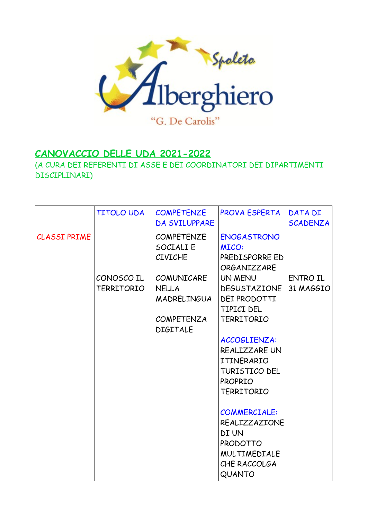

## **CANOVACCIO DELLE UDA 2021-2022**

(A CURA DEI REFERENTI DI ASSE E DEI COORDINATORI DEI DIPARTIMENTI DISCIPLINARI)

|                     | <b>TITOLO UDA</b>        | <b>COMPETENZE</b><br>DA SVILUPPARE                                                                                             | <b>PROVA ESPERTA</b>                                                                                                                                                                                                                                                                                                                                                                                      | DATA DI<br><b>SCADENZA</b>   |
|---------------------|--------------------------|--------------------------------------------------------------------------------------------------------------------------------|-----------------------------------------------------------------------------------------------------------------------------------------------------------------------------------------------------------------------------------------------------------------------------------------------------------------------------------------------------------------------------------------------------------|------------------------------|
| <b>CLASSI PRIME</b> | CONOSCO IL<br>TERRITORIO | <b>COMPETENZE</b><br>SOCIALI E<br><b>CIVICHE</b><br>COMUNICARE<br><b>NELLA</b><br>MADRELINGUA<br>COMPETENZA<br><b>DIGITALE</b> | <b>ENOGASTRONO</b><br><b>MICO:</b><br>PREDISPORRE ED<br><b>ORGANIZZARE</b><br>UN MENU<br><b>DEGUSTAZIONE</b><br>DEI PRODOTTI<br>TIPICI DEL<br><b>TERRITORIO</b><br>ACCOGLIENZA:<br>REALIZZARE UN<br>ITINERARIO<br><b>TURISTICO DEL</b><br><b>PROPRIO</b><br><b>TERRITORIO</b><br><b>COMMERCIALE:</b><br>REALIZZAZIONE<br><b>DI UN</b><br>PRODOTTO<br><b>MULTIMEDIALE</b><br>CHE RACCOLGA<br><b>QUANTO</b> | <b>ENTRO IL</b><br>31 MAGGIO |
|                     |                          |                                                                                                                                |                                                                                                                                                                                                                                                                                                                                                                                                           |                              |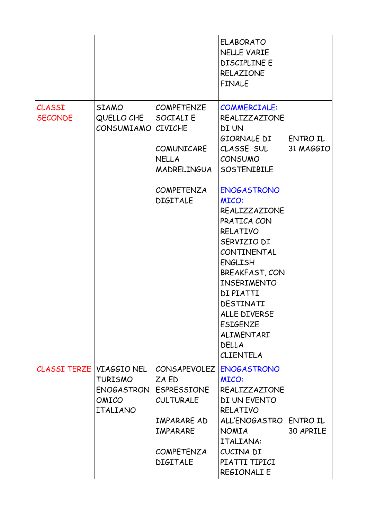|                                 |                                                                  |                                                                                                                                    | <b>ELABORATO</b><br><b>NELLE VARIE</b><br><b>DISCIPLINE E</b><br><b>RELAZIONE</b><br><b>FINALE</b>                                                                                                                                                                                    |                              |
|---------------------------------|------------------------------------------------------------------|------------------------------------------------------------------------------------------------------------------------------------|---------------------------------------------------------------------------------------------------------------------------------------------------------------------------------------------------------------------------------------------------------------------------------------|------------------------------|
| <b>CLASSI</b><br><b>SECONDE</b> | <b>SIAMO</b><br>QUELLO CHE<br>CONSUMIAMO                         | <b>COMPETENZE</b><br>SOCIALI E<br><b>CIVICHE</b><br>COMUNICARE<br>NELLA<br>MADRELINGUA                                             | <b>COMMERCIALE:</b><br>REALIZZAZIONE<br>DI UN<br>GIORNALE DI<br>CLASSE SUL<br><b>CONSUMO</b><br>SOSTENIBILE                                                                                                                                                                           | <b>ENTRO IL</b><br>31 MAGGIO |
|                                 |                                                                  | <b>COMPETENZA</b><br><b>DIGITALE</b>                                                                                               | <b>ENOGASTRONO</b><br><b>MICO:</b><br>REALIZZAZIONE<br>PRATICA CON<br>RELATIVO<br>SERVIZIO DI<br>CONTINENTAL<br><b>ENGLISH</b><br>BREAKFAST, CON<br><b>INSERIMENTO</b><br>DI PIATTI<br>DESTINATI<br>ALLE DIVERSE<br><b>ESIGENZE</b><br>ALIMENTARI<br><b>DELLA</b><br><b>CLIENTELA</b> |                              |
| CLASSI TERZE                    | VIAGGIO NEL<br><b>TURISMO</b><br>ENOGASTRON<br>OMICO<br>ITALIANO | <b>CONSAPEVOLEZ</b><br>ZA ED<br>ESPRESSIONE<br><b>CULTURALE</b><br>IMPARARE AD<br>IMPARARE<br><b>COMPETENZA</b><br><b>DIGITALE</b> | <b>ENOGASTRONO</b><br><b>MICO:</b><br>REALIZZAZIONE<br>DI UN EVENTO<br><b>RELATIVO</b><br>ALL'ENOGASTRO<br><b>NOMIA</b><br>ITALIANA:<br>CUCINA DI<br>PIATTI TIPICI<br><b>REGIONALI E</b>                                                                                              | ENTRO IL<br>30 APRILE        |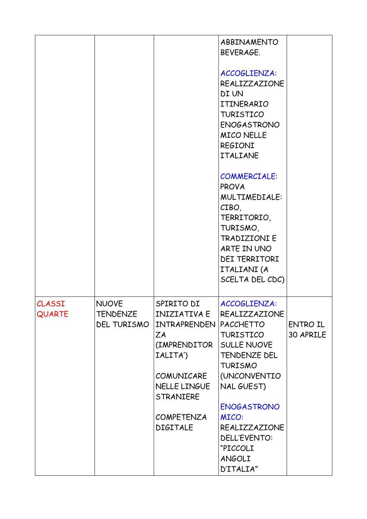|                         |                                                       |                                                                                                                                                                               | ABBINAMENTO<br>BEVERAGE.<br>ACCOGLIENZA:<br>REALIZZAZIONE<br>DI UN<br>ITINERARIO<br><b>TURISTICO</b><br><b>ENOGASTRONO</b><br><b>MICO NELLE</b><br><b>REGIONI</b><br><b>ITALIANE</b><br><b>COMMERCIALE:</b><br><b>PROVA</b><br>MULTIMEDIALE:<br>CIBO,<br>TERRITORIO,<br>TURISMO,<br><b>TRADIZIONIE</b><br>ARTE IN UNO<br><b>DEI TERRITORI</b><br>ITALIANI (A<br>SCELTA DEL CDC) |                       |
|-------------------------|-------------------------------------------------------|-------------------------------------------------------------------------------------------------------------------------------------------------------------------------------|---------------------------------------------------------------------------------------------------------------------------------------------------------------------------------------------------------------------------------------------------------------------------------------------------------------------------------------------------------------------------------|-----------------------|
| CLASSI<br><b>QUARTE</b> | <b>NUOVE</b><br><b>TENDENZE</b><br><b>DEL TURISMO</b> | SPIRITO DI<br><b>INIZIATIVA E</b><br>INTRAPRENDEN<br>ZA<br>(IMPRENDITOR<br>IALITA')<br>COMUNICARE<br>NELLE LINGUE<br><b>STRANIERE</b><br><b>COMPETENZA</b><br><b>DIGITALE</b> | ACCOGLIENZA:<br>REALIZZAZIONE<br><b>PACCHETTO</b><br>TURISTICO<br><b>SULLE NUOVE</b><br>TENDENZE DEL<br><b>TURISMO</b><br>(UNCONVENTIO<br>NAL GUEST)<br><b>ENOGASTRONO</b><br><b>MICO:</b><br>REALIZZAZIONE<br>DELL'EVENTO:<br>"PICCOLI<br>ANGOLI<br>D'ITALIA"                                                                                                                  | ENTRO IL<br>30 APRILE |